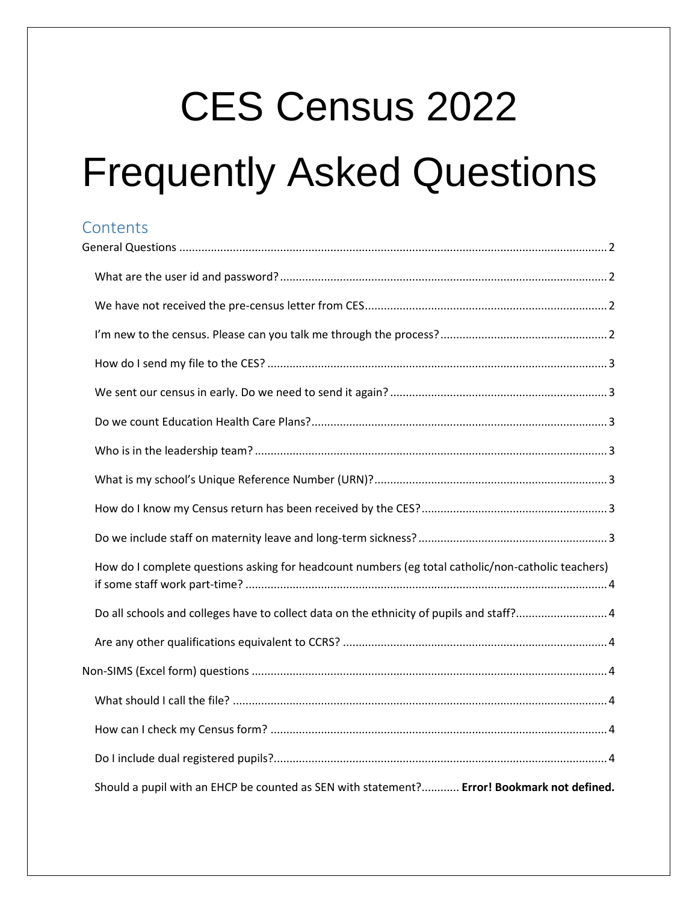# CES Census 2022

# Frequently Asked Questions

# **Contents**

| How do I complete questions asking for headcount numbers (eg total catholic/non-catholic teachers) |  |
|----------------------------------------------------------------------------------------------------|--|
| Do all schools and colleges have to collect data on the ethnicity of pupils and staff?4            |  |
|                                                                                                    |  |
|                                                                                                    |  |
|                                                                                                    |  |
|                                                                                                    |  |
|                                                                                                    |  |
| Should a pupil with an EHCP be counted as SEN with statement? Error! Bookmark not defined.         |  |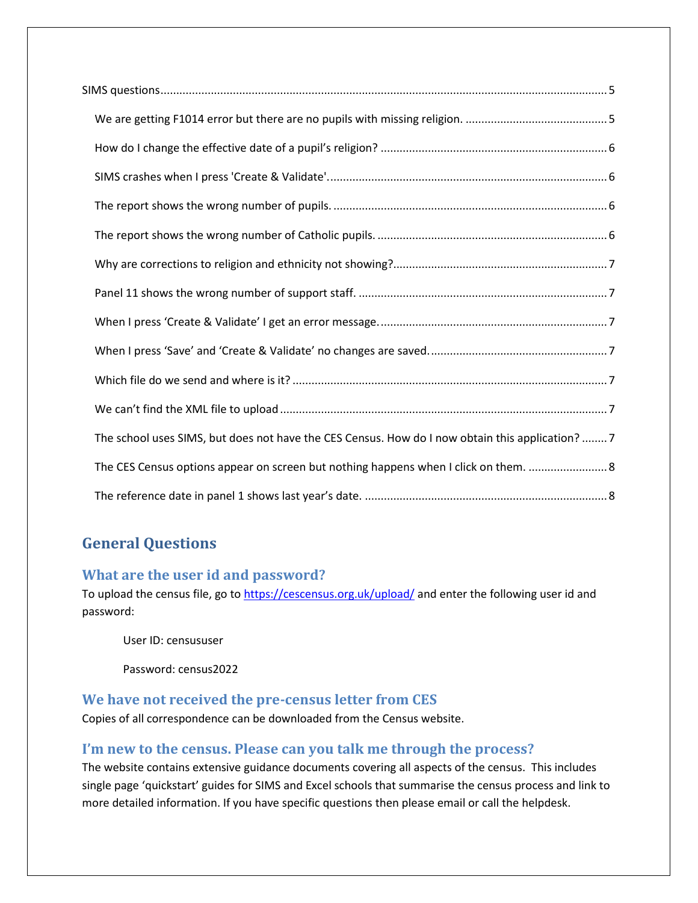| The school uses SIMS, but does not have the CES Census. How do I now obtain this application?7 |
|------------------------------------------------------------------------------------------------|
| The CES Census options appear on screen but nothing happens when I click on them.  8           |
|                                                                                                |

# <span id="page-1-0"></span>**General Questions**

#### <span id="page-1-1"></span>**What are the user id and password?**

To upload the census file, go to<https://cescensus.org.uk/upload/> and enter the following user id and password:

User ID: censususer

Password: census2022

#### <span id="page-1-2"></span>**We have not received the pre-census letter from CES**

Copies of all correspondence can be downloaded from the Census website.

#### <span id="page-1-3"></span>**I'm new to the census. Please can you talk me through the process?**

The website contains extensive guidance documents covering all aspects of the census. This includes single page 'quickstart' guides for SIMS and Excel schools that summarise the census process and link to more detailed information. If you have specific questions then please email or call the helpdesk.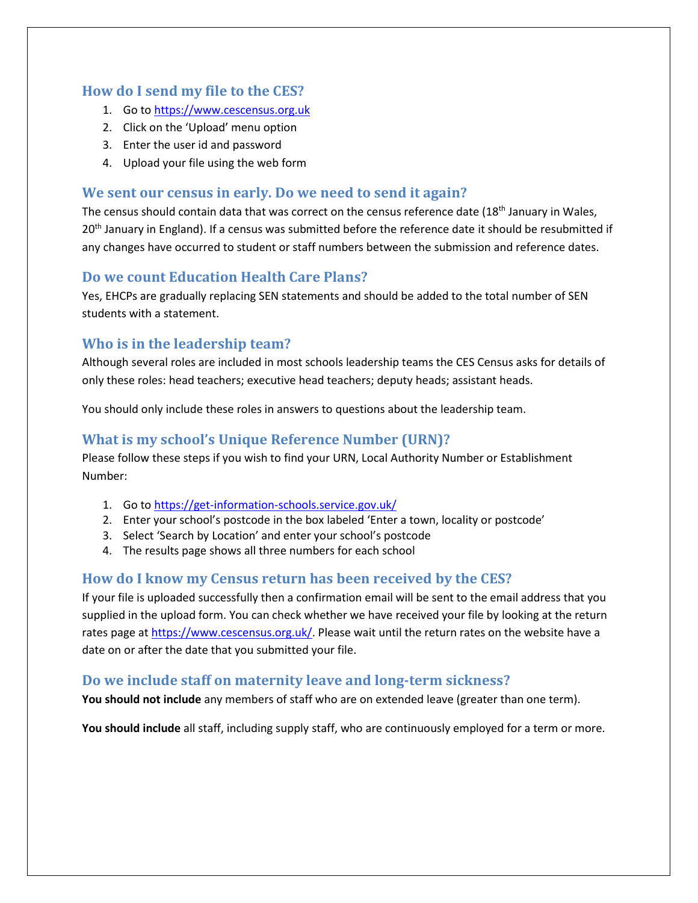#### <span id="page-2-0"></span>**How do I send my file to the CES?**

- 1. Go to [https://www.cescensus.org.uk](https://www.cescensus.org.uk/)
- 2. Click on the 'Upload' menu option
- 3. Enter the user id and password
- 4. Upload your file using the web form

### <span id="page-2-1"></span>**We sent our census in early. Do we need to send it again?**

The census should contain data that was correct on the census reference date (18<sup>th</sup> January in Wales, 20<sup>th</sup> January in England). If a census was submitted before the reference date it should be resubmitted if any changes have occurred to student or staff numbers between the submission and reference dates.

## <span id="page-2-2"></span>**Do we count Education Health Care Plans?**

Yes, EHCPs are gradually replacing SEN statements and should be added to the total number of SEN students with a statement.

# <span id="page-2-3"></span>**Who is in the leadership team?**

Although several roles are included in most schools leadership teams the CES Census asks for details of only these roles: head teachers; executive head teachers; deputy heads; assistant heads.

You should only include these roles in answers to questions about the leadership team.

# <span id="page-2-4"></span>**What is my school's Unique Reference Number (URN)?**

Please follow these steps if you wish to find your URN, Local Authority Number or Establishment Number:

- 1. Go to<https://get-information-schools.service.gov.uk/>
- 2. Enter your school's postcode in the box labeled 'Enter a town, locality or postcode'
- 3. Select 'Search by Location' and enter your school's postcode
- 4. The results page shows all three numbers for each school

# <span id="page-2-5"></span>**How do I know my Census return has been received by the CES?**

If your file is uploaded successfully then a confirmation email will be sent to the email address that you supplied in the upload form. You can check whether we have received your file by looking at the return rates page a[t https://www.cescensus.org.uk/.](https://www.cescensus.org.uk/) Please wait until the return rates on the website have a date on or after the date that you submitted your file.

#### <span id="page-2-6"></span>**Do we include staff on maternity leave and long-term sickness?**

**You should not include** any members of staff who are on extended leave (greater than one term).

**You should include** all staff, including supply staff, who are continuously employed for a term or more.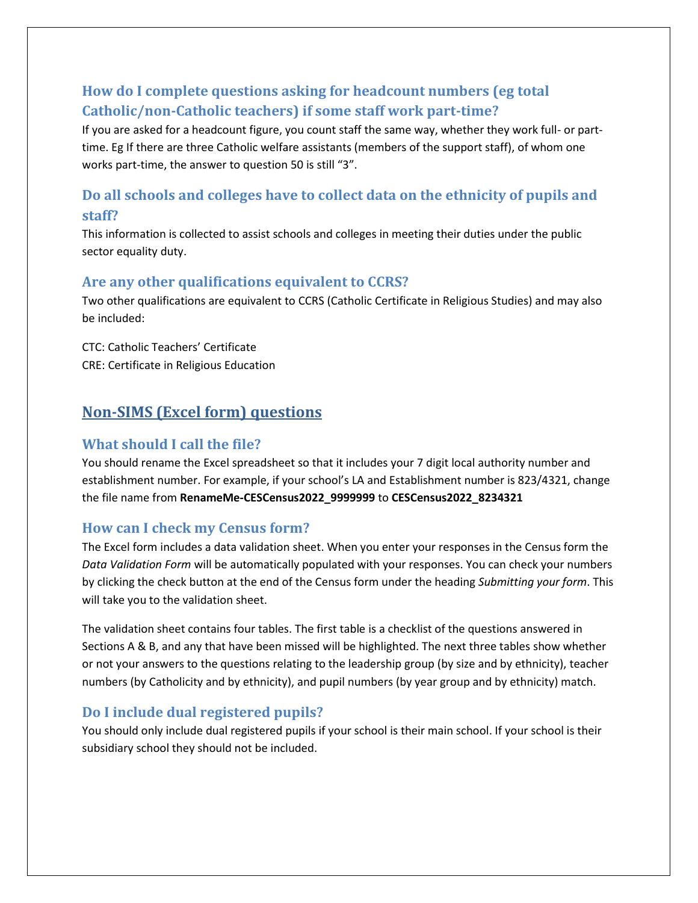# <span id="page-3-0"></span>**How do I complete questions asking for headcount numbers (eg total Catholic/non-Catholic teachers) if some staff work part-time?**

If you are asked for a headcount figure, you count staff the same way, whether they work full- or parttime. Eg If there are three Catholic welfare assistants (members of the support staff), of whom one works part-time, the answer to question 50 is still "3".

# <span id="page-3-1"></span>**Do all schools and colleges have to collect data on the ethnicity of pupils and staff?**

This information is collected to assist schools and colleges in meeting their duties under the public sector equality duty.

#### <span id="page-3-2"></span>**Are any other qualifications equivalent to CCRS?**

Two other qualifications are equivalent to CCRS (Catholic Certificate in Religious Studies) and may also be included:

CTC: Catholic Teachers' Certificate CRE: Certificate in Religious Education

# <span id="page-3-3"></span>**Non-SIMS (Excel form) questions**

#### <span id="page-3-4"></span>**What should I call the file?**

You should rename the Excel spreadsheet so that it includes your 7 digit local authority number and establishment number. For example, if your school's LA and Establishment number is 823/4321, change the file name from **RenameMe-CESCensus2022\_9999999** to **CESCensus2022\_8234321**

#### <span id="page-3-5"></span>**How can I check my Census form?**

The Excel form includes a data validation sheet. When you enter your responses in the Census form the *Data Validation Form* will be automatically populated with your responses. You can check your numbers by clicking the check button at the end of the Census form under the heading *Submitting your form*. This will take you to the validation sheet.

The validation sheet contains four tables. The first table is a checklist of the questions answered in Sections A & B, and any that have been missed will be highlighted. The next three tables show whether or not your answers to the questions relating to the leadership group (by size and by ethnicity), teacher numbers (by Catholicity and by ethnicity), and pupil numbers (by year group and by ethnicity) match.

#### <span id="page-3-6"></span>**Do I include dual registered pupils?**

<span id="page-3-7"></span>You should only include dual registered pupils if your school is their main school. If your school is their subsidiary school they should not be included.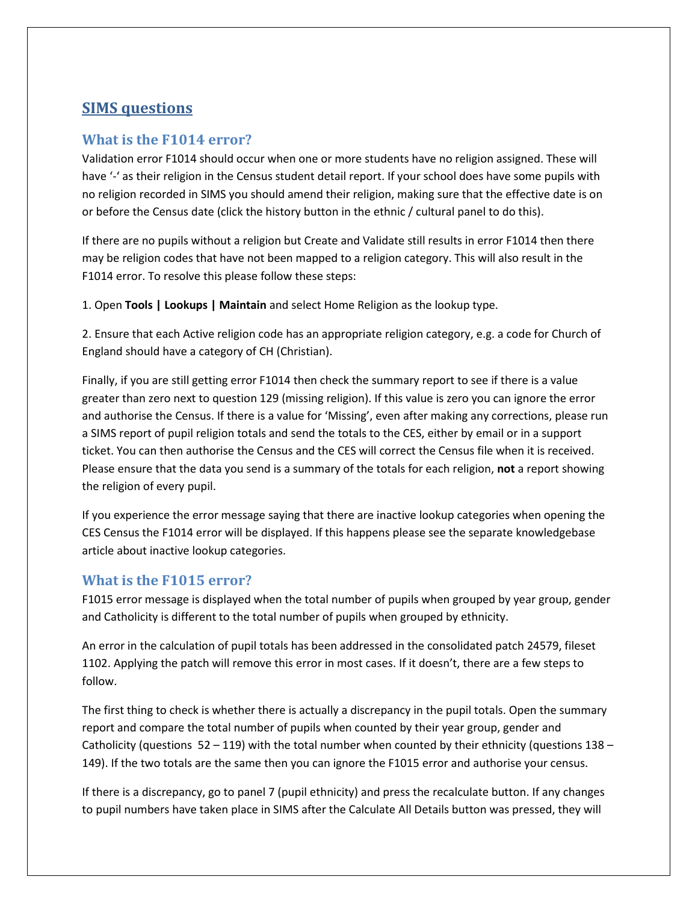# **SIMS questions**

#### <span id="page-4-0"></span>**What is the F1014 error?**

Validation error F1014 should occur when one or more students have no religion assigned. These will have '-' as their religion in the Census student detail report. If your school does have some pupils with no religion recorded in SIMS you should amend their religion, making sure that the effective date is on or before the Census date (click the history button in the ethnic / cultural panel to do this).

If there are no pupils without a religion but Create and Validate still results in error F1014 then there may be religion codes that have not been mapped to a religion category. This will also result in the F1014 error. To resolve this please follow these steps:

1. Open **Tools | Lookups | Maintain** and select Home Religion as the lookup type.

2. Ensure that each Active religion code has an appropriate religion category, e.g. a code for Church of England should have a category of CH (Christian).

Finally, if you are still getting error F1014 then check the summary report to see if there is a value greater than zero next to question 129 (missing religion). If this value is zero you can ignore the error and authorise the Census. If there is a value for 'Missing', even after making any corrections, please run a SIMS report of pupil religion totals and send the totals to the CES, either by email or in a support ticket. You can then authorise the Census and the CES will correct the Census file when it is received. Please ensure that the data you send is a summary of the totals for each religion, **not** a report showing the religion of every pupil.

If you experience the error message saying that there are inactive lookup categories when opening the CES Census the F1014 error will be displayed. If this happens please see the separate knowledgebase article about inactive lookup categories.

#### **What is the F1015 error?**

F1015 error message is displayed when the total number of pupils when grouped by year group, gender and Catholicity is different to the total number of pupils when grouped by ethnicity.

An error in the calculation of pupil totals has been addressed in the consolidated patch 24579, fileset 1102. Applying the patch will remove this error in most cases. If it doesn't, there are a few steps to follow.

The first thing to check is whether there is actually a discrepancy in the pupil totals. Open the summary report and compare the total number of pupils when counted by their year group, gender and Catholicity (questions  $52 - 119$ ) with the total number when counted by their ethnicity (questions  $138 -$ 149). If the two totals are the same then you can ignore the F1015 error and authorise your census.

If there is a discrepancy, go to panel 7 (pupil ethnicity) and press the recalculate button. If any changes to pupil numbers have taken place in SIMS after the Calculate All Details button was pressed, they will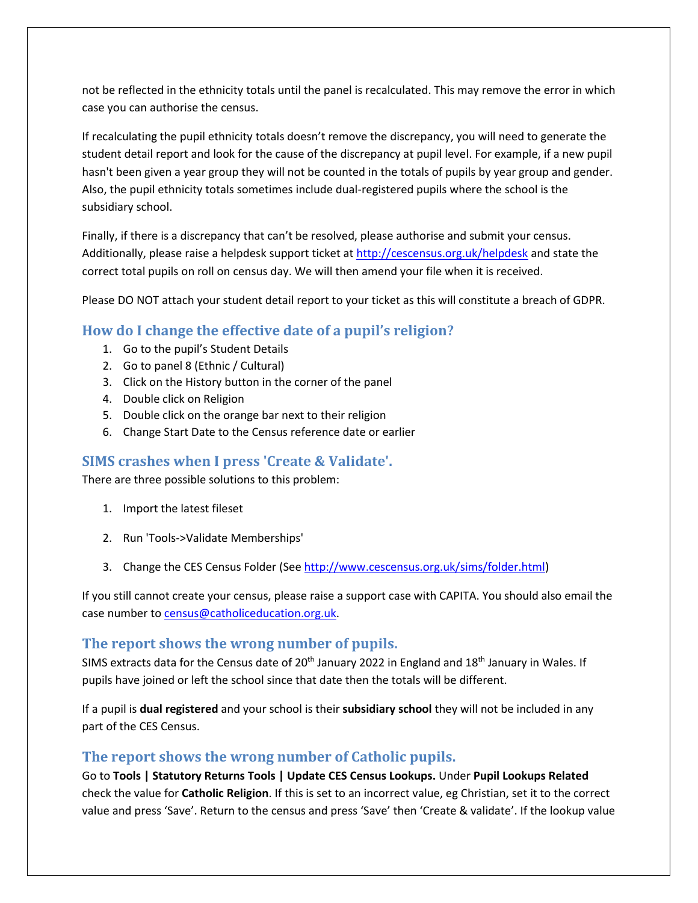not be reflected in the ethnicity totals until the panel is recalculated. This may remove the error in which case you can authorise the census.

If recalculating the pupil ethnicity totals doesn't remove the discrepancy, you will need to generate the student detail report and look for the cause of the discrepancy at pupil level. For example, if a new pupil hasn't been given a year group they will not be counted in the totals of pupils by year group and gender. Also, the pupil ethnicity totals sometimes include dual-registered pupils where the school is the subsidiary school.

Finally, if there is a discrepancy that can't be resolved, please authorise and submit your census. Additionally, please raise a helpdesk support ticket at <http://cescensus.org.uk/helpdesk> and state the correct total pupils on roll on census day. We will then amend your file when it is received.

Please DO NOT attach your student detail report to your ticket as this will constitute a breach of GDPR.

#### <span id="page-5-0"></span>**How do I change the effective date of a pupil's religion?**

- 1. Go to the pupil's Student Details
- 2. Go to panel 8 (Ethnic / Cultural)
- 3. Click on the History button in the corner of the panel
- 4. Double click on Religion
- 5. Double click on the orange bar next to their religion
- 6. Change Start Date to the Census reference date or earlier

#### <span id="page-5-1"></span>**SIMS crashes when I press 'Create & Validate'.**

There are three possible solutions to this problem:

- 1. Import the latest fileset
- 2. Run 'Tools->Validate Memberships'
- 3. Change the CES Census Folder (See [http://www.cescensus.org.uk/sims/folder.html\)](http://www.cescensus.org.uk/sims/folder.html)

If you still cannot create your census, please raise a support case with CAPITA. You should also email the case number to [census@catholiceducation.org.uk.](mailto:census@catholiceducation.org.uk)

#### <span id="page-5-2"></span>**The report shows the wrong number of pupils.**

SIMS extracts data for the Census date of 20<sup>th</sup> January 2022 in England and 18<sup>th</sup> January in Wales. If pupils have joined or left the school since that date then the totals will be different.

If a pupil is **dual registered** and your school is their **subsidiary school** they will not be included in any part of the CES Census.

#### <span id="page-5-3"></span>**The report shows the wrong number of Catholic pupils.**

Go to **Tools | Statutory Returns Tools | Update CES Census Lookups.** Under **Pupil Lookups Related** check the value for **Catholic Religion**. If this is set to an incorrect value, eg Christian, set it to the correct value and press 'Save'. Return to the census and press 'Save' then 'Create & validate'. If the lookup value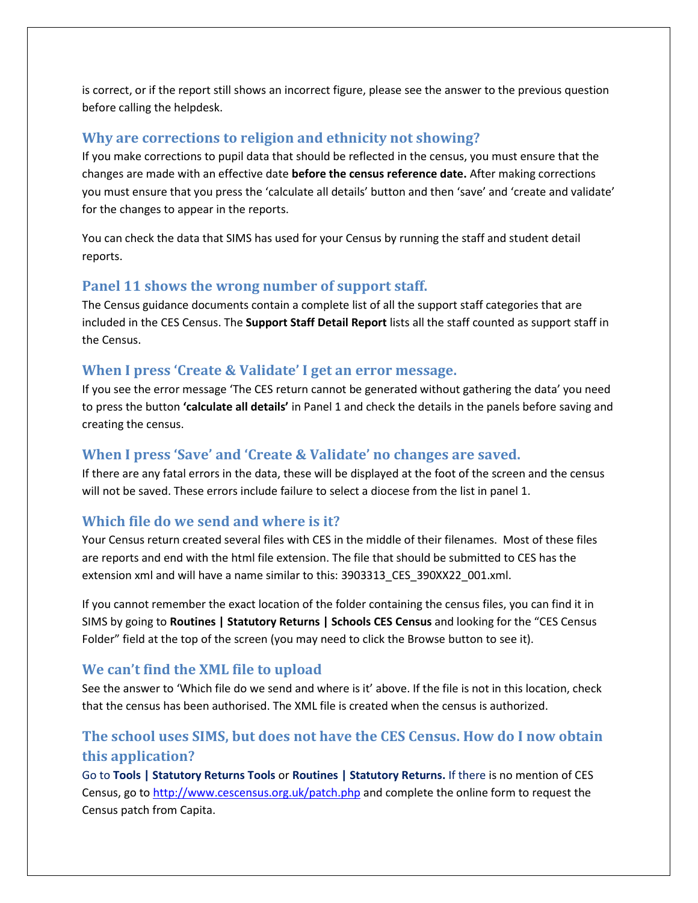is correct, or if the report still shows an incorrect figure, please see the answer to the previous question before calling the helpdesk.

#### <span id="page-6-0"></span>**Why are corrections to religion and ethnicity not showing?**

If you make corrections to pupil data that should be reflected in the census, you must ensure that the changes are made with an effective date **before the census reference date.** After making corrections you must ensure that you press the 'calculate all details' button and then 'save' and 'create and validate' for the changes to appear in the reports.

You can check the data that SIMS has used for your Census by running the staff and student detail reports.

#### <span id="page-6-1"></span>**Panel 11 shows the wrong number of support staff.**

The Census guidance documents contain a complete list of all the support staff categories that are included in the CES Census. The **Support Staff Detail Report** lists all the staff counted as support staff in the Census.

#### <span id="page-6-2"></span>**When I press 'Create & Validate' I get an error message.**

If you see the error message 'The CES return cannot be generated without gathering the data' you need to press the button **'calculate all details'** in Panel 1 and check the details in the panels before saving and creating the census.

#### <span id="page-6-3"></span>**When I press 'Save' and 'Create & Validate' no changes are saved.**

If there are any fatal errors in the data, these will be displayed at the foot of the screen and the census will not be saved. These errors include failure to select a diocese from the list in panel 1.

#### <span id="page-6-4"></span>**Which file do we send and where is it?**

Your Census return created several files with CES in the middle of their filenames. Most of these files are reports and end with the html file extension. The file that should be submitted to CES has the extension xml and will have a name similar to this: 3903313\_CES\_390XX22\_001.xml.

If you cannot remember the exact location of the folder containing the census files, you can find it in SIMS by going to **Routines | Statutory Returns | Schools CES Census** and looking for the "CES Census Folder" field at the top of the screen (you may need to click the Browse button to see it).

#### <span id="page-6-5"></span>**We can't find the XML file to upload**

See the answer to 'Which file do we send and where is it' above. If the file is not in this location, check that the census has been authorised. The XML file is created when the census is authorized.

# <span id="page-6-6"></span>**The school uses SIMS, but does not have the CES Census. How do I now obtain this application?**

Go to **Tools | Statutory Returns Tools** or **Routines | Statutory Returns.** If there is no mention of CES Census, go to<http://www.cescensus.org.uk/patch.php> and complete the online form to request the Census patch from Capita.